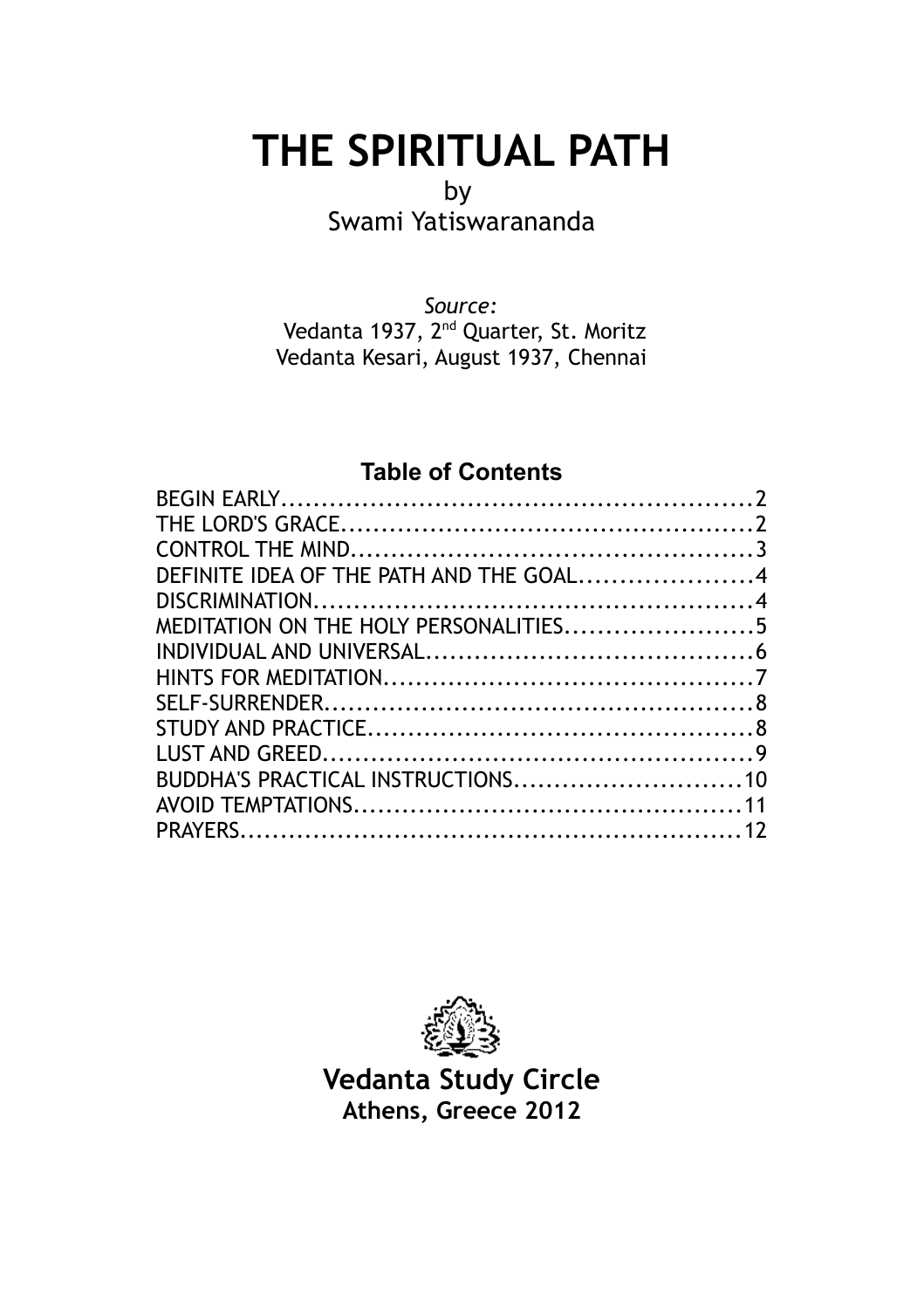# **THE SPIRITUAL PATH**

#### by

Swami Yatiswarananda

*Source:* Vedanta 1937, 2<sup>nd</sup> Quarter, St. Moritz Vedanta Kesari, August 1937, Chennai

# **Table of Contents**

| DEFINITE IDEA OF THE PATH AND THE GOAL4 |  |
|-----------------------------------------|--|
|                                         |  |
| MEDITATION ON THE HOLY PERSONALITIES5   |  |
|                                         |  |
|                                         |  |
|                                         |  |
|                                         |  |
|                                         |  |
|                                         |  |
|                                         |  |
|                                         |  |
|                                         |  |



**Vedanta Study Circle Athens, Greece 2012**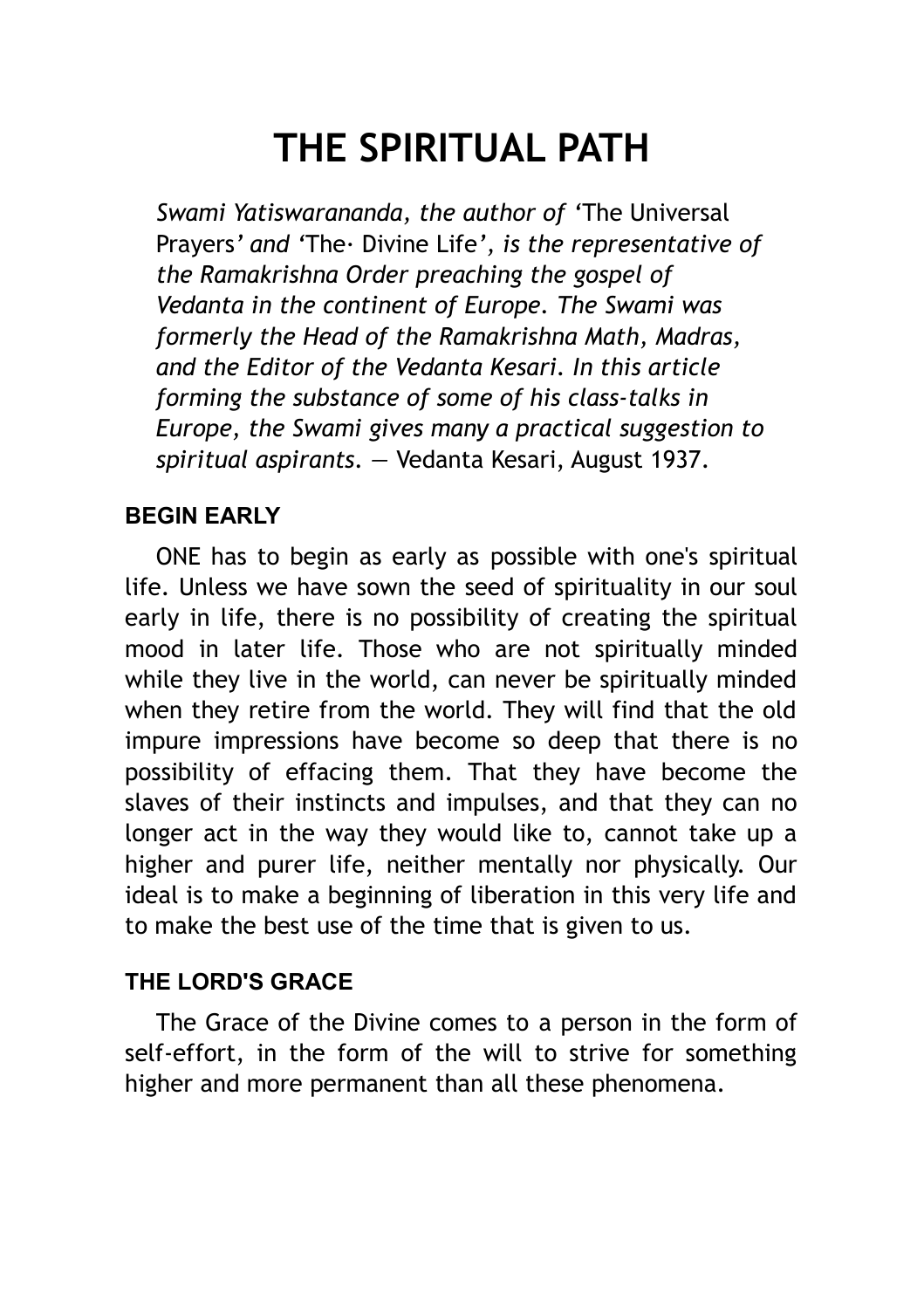# **THE SPIRITUAL PATH**

*Swami Yatiswarananda, the author of '*The Universal Prayers*' and '*The· Divine Life*', is the representative of the Ramakrishna Order preaching the gospel of Vedanta in the continent of Europe. The Swami was formerly the Head of the Ramakrishna Math, Madras, and the Editor of the Vedanta Kesari. In this article forming the substance of some of his class-talks in Europe, the Swami gives many a practical suggestion to spiritual aspirants. —* Vedanta Kesari, August 1937.

#### <span id="page-1-0"></span>**BEGIN EARLY**

ONE has to begin as early as possible with one's spiritual life. Unless we have sown the seed of spirituality in our soul early in life, there is no possibility of creating the spiritual mood in later life. Those who are not spiritually minded while they live in the world, can never be spiritually minded when they retire from the world. They will find that the old impure impressions have become so deep that there is no possibility of effacing them. That they have become the slaves of their instincts and impulses, and that they can no longer act in the way they would like to, cannot take up a higher and purer life, neither mentally nor physically. Our ideal is to make a beginning of liberation in this very life and to make the best use of the time that is given to us.

#### <span id="page-1-1"></span>**THE LORD'S GRACE**

The Grace of the Divine comes to a person in the form of self-effort, in the form of the will to strive for something higher and more permanent than all these phenomena.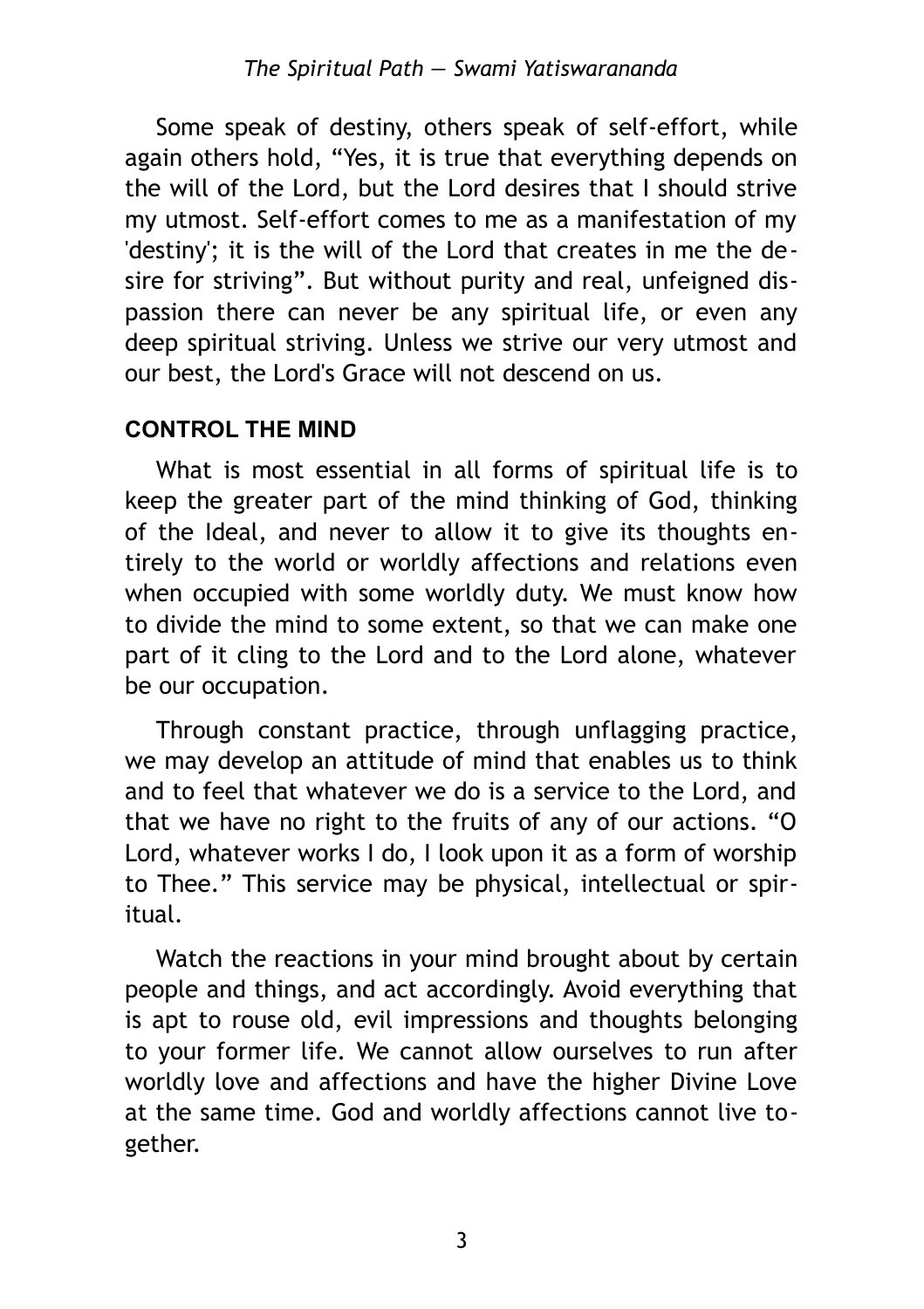Some speak of destiny, others speak of self-effort, while again others hold, "Yes, it is true that everything depends on the will of the Lord, but the Lord desires that I should strive my utmost. Self-effort comes to me as a manifestation of my 'destiny'; it is the will of the Lord that creates in me the desire for striving". But without purity and real, unfeigned dispassion there can never be any spiritual life, or even any deep spiritual striving. Unless we strive our very utmost and our best, the Lord's Grace will not descend on us.

# <span id="page-2-0"></span>**CONTROL THE MIND**

What is most essential in all forms of spiritual life is to keep the greater part of the mind thinking of God, thinking of the Ideal, and never to allow it to give its thoughts entirely to the world or worldly affections and relations even when occupied with some worldly duty. We must know how to divide the mind to some extent, so that we can make one part of it cling to the Lord and to the Lord alone, whatever be our occupation.

Through constant practice, through unflagging practice, we may develop an attitude of mind that enables us to think and to feel that whatever we do is a service to the Lord, and that we have no right to the fruits of any of our actions. "O Lord, whatever works I do, I look upon it as a form of worship to Thee." This service may be physical, intellectual or spiritual.

Watch the reactions in your mind brought about by certain people and things, and act accordingly. Avoid everything that is apt to rouse old, evil impressions and thoughts belonging to your former life. We cannot allow ourselves to run after worldly love and affections and have the higher Divine Love at the same time. God and worldly affections cannot live together.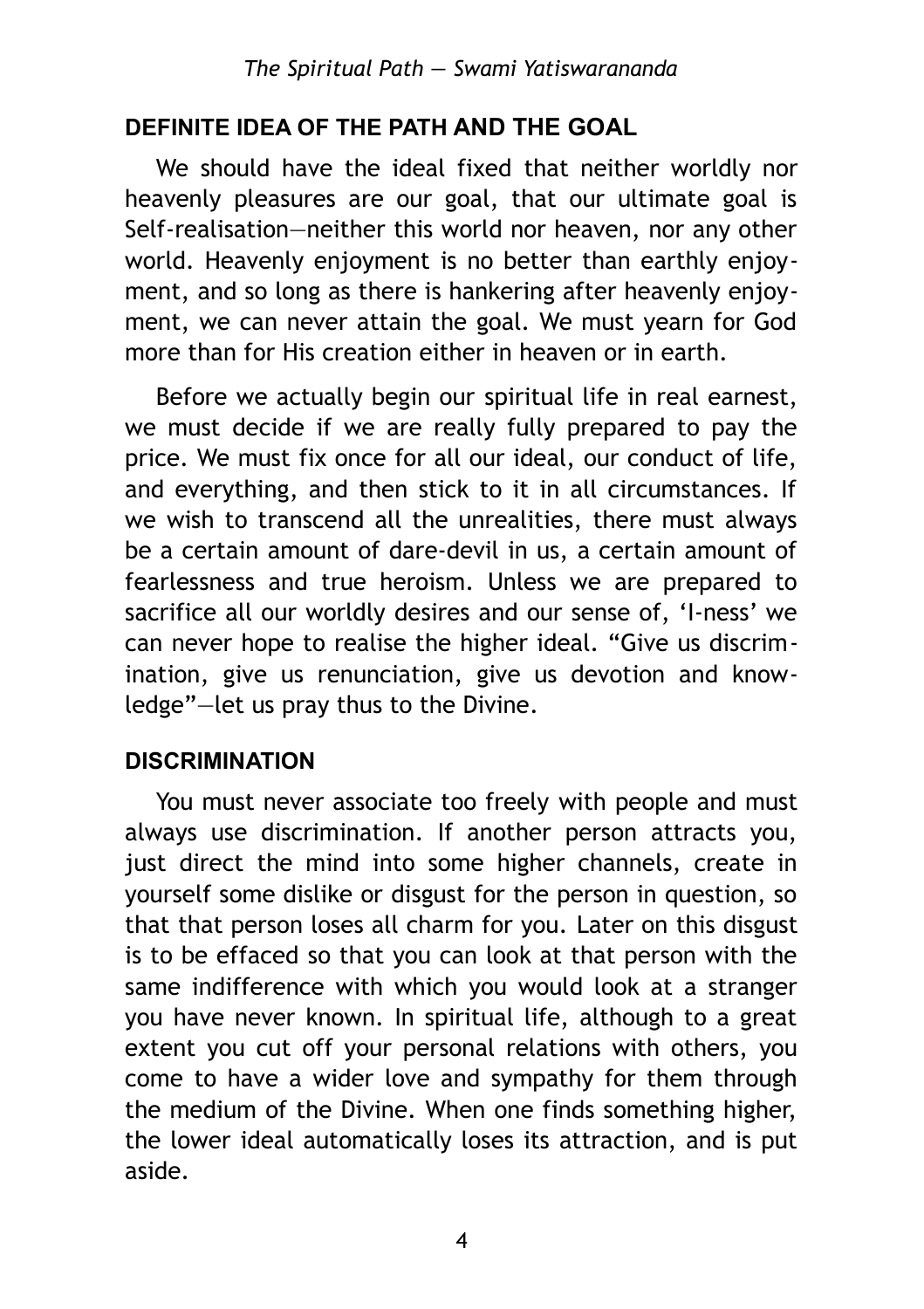#### <span id="page-3-1"></span>**DEFINITE IDEA OF THE PATH AND THE GOAL**

We should have the ideal fixed that neither worldly nor heavenly pleasures are our goal, that our ultimate goal is Self-realisation—neither this world nor heaven, nor any other world. Heavenly enjoyment is no better than earthly enjoyment, and so long as there is hankering after heavenly enjoyment, we can never attain the goal. We must yearn for God more than for His creation either in heaven or in earth.

Before we actually begin our spiritual life in real earnest, we must decide if we are really fully prepared to pay the price. We must fix once for all our ideal, our conduct of life, and everything, and then stick to it in all circumstances. If we wish to transcend all the unrealities, there must always be a certain amount of dare-devil in us, a certain amount of fearlessness and true heroism. Unless we are prepared to sacrifice all our worldly desires and our sense of, 'I-ness' we can never hope to realise the higher ideal. "Give us discrimination, give us renunciation, give us devotion and knowledge"—let us pray thus to the Divine.

#### <span id="page-3-0"></span>**DISCRIMINATION**

You must never associate too freely with people and must always use discrimination. If another person attracts you, just direct the mind into some higher channels, create in yourself some dislike or disgust for the person in question, so that that person loses all charm for you. Later on this disgust is to be effaced so that you can look at that person with the same indifference with which you would look at a stranger you have never known. In spiritual life, although to a great extent you cut off your personal relations with others, you come to have a wider love and sympathy for them through the medium of the Divine. When one finds something higher, the lower ideal automatically loses its attraction, and is put aside.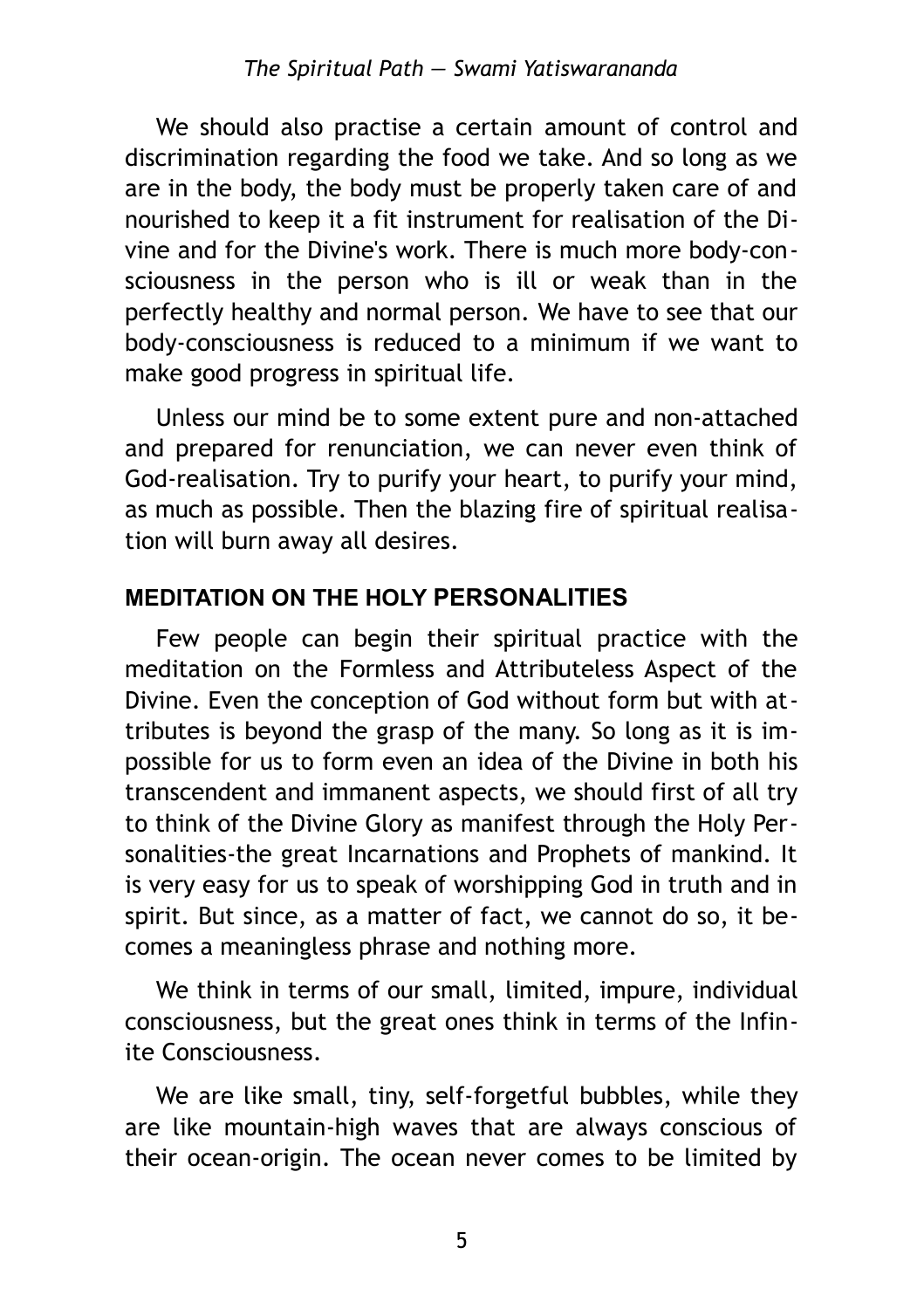We should also practise a certain amount of control and discrimination regarding the food we take. And so long as we are in the body, the body must be properly taken care of and nourished to keep it a fit instrument for realisation of the Divine and for the Divine's work. There is much more body-consciousness in the person who is ill or weak than in the perfectly healthy and normal person. We have to see that our body-consciousness is reduced to a minimum if we want to make good progress in spiritual life.

Unless our mind be to some extent pure and non-attached and prepared for renunciation, we can never even think of God-realisation. Try to purify your heart, to purify your mind, as much as possible. Then the blazing fire of spiritual realisation will burn away all desires.

## <span id="page-4-0"></span>**MEDITATION ON THE HOLY PERSONALITIES**

Few people can begin their spiritual practice with the meditation on the Formless and Attributeless Aspect of the Divine. Even the conception of God without form but with attributes is beyond the grasp of the many. So long as it is impossible for us to form even an idea of the Divine in both his transcendent and immanent aspects, we should first of all try to think of the Divine Glory as manifest through the Holy Personalities-the great Incarnations and Prophets of mankind. It is very easy for us to speak of worshipping God in truth and in spirit. But since, as a matter of fact, we cannot do so, it becomes a meaningless phrase and nothing more.

We think in terms of our small, limited, impure, individual consciousness, but the great ones think in terms of the Infinite Consciousness.

We are like small, tiny, self-forgetful bubbles, while they are like mountain-high waves that are always conscious of their ocean-origin. The ocean never comes to be limited by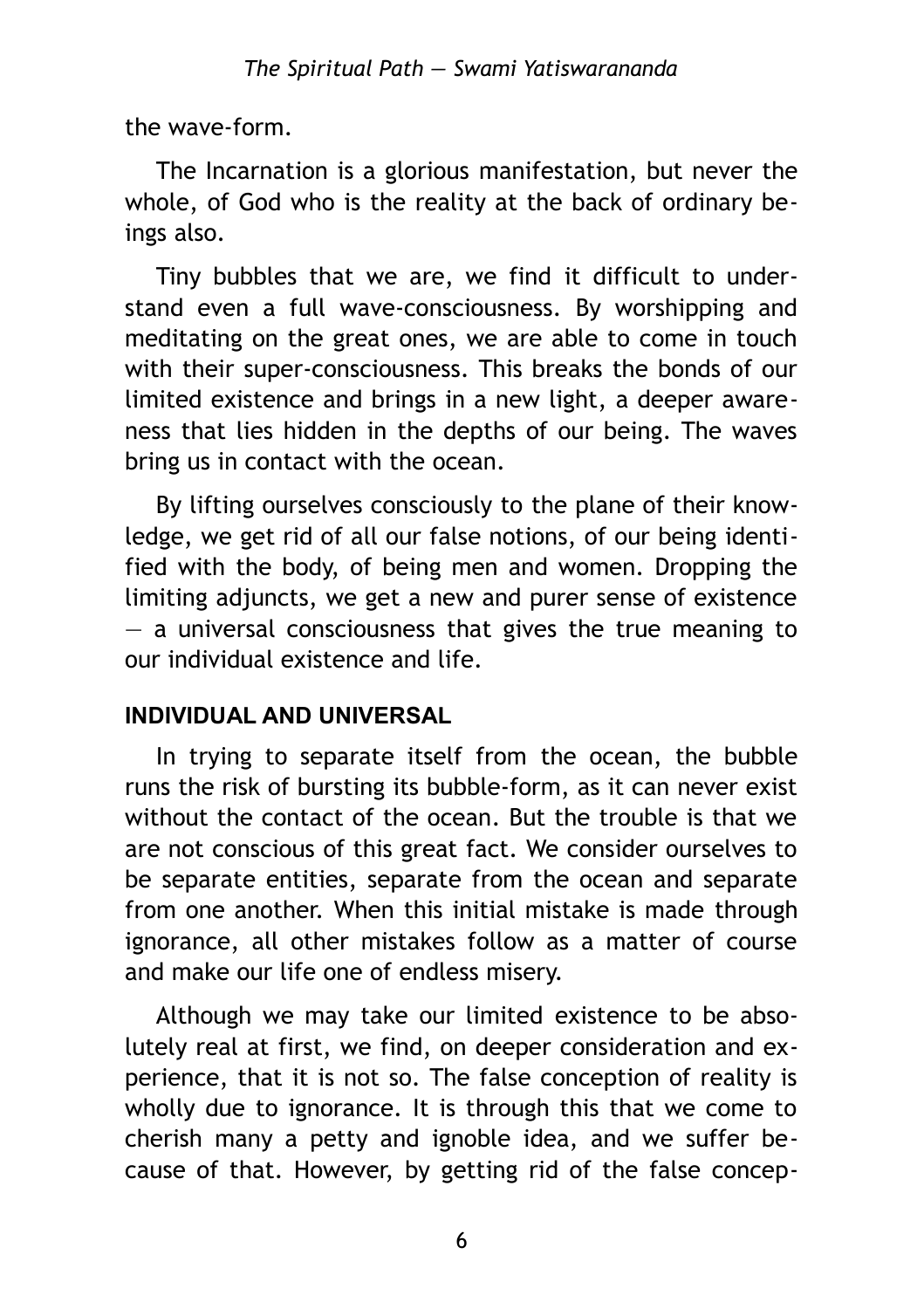the wave-form.

The Incarnation is a glorious manifestation, but never the whole, of God who is the reality at the back of ordinary beings also.

Tiny bubbles that we are, we find it difficult to understand even a full wave-consciousness. By worshipping and meditating on the great ones, we are able to come in touch with their super-consciousness. This breaks the bonds of our limited existence and brings in a new light, a deeper awareness that lies hidden in the depths of our being. The waves bring us in contact with the ocean.

By lifting ourselves consciously to the plane of their knowledge, we get rid of all our false notions, of our being identified with the body, of being men and women. Dropping the limiting adjuncts, we get a new and purer sense of existence  $-$  a universal consciousness that gives the true meaning to our individual existence and life.

## <span id="page-5-0"></span>**INDIVIDUAL AND UNIVERSAL**

In trying to separate itself from the ocean, the bubble runs the risk of bursting its bubble-form, as it can never exist without the contact of the ocean. But the trouble is that we are not conscious of this great fact. We consider ourselves to be separate entities, separate from the ocean and separate from one another. When this initial mistake is made through ignorance, all other mistakes follow as a matter of course and make our life one of endless misery.

Although we may take our limited existence to be absolutely real at first, we find, on deeper consideration and experience, that it is not so. The false conception of reality is wholly due to ignorance. It is through this that we come to cherish many a petty and ignoble idea, and we suffer because of that. However, by getting rid of the false concep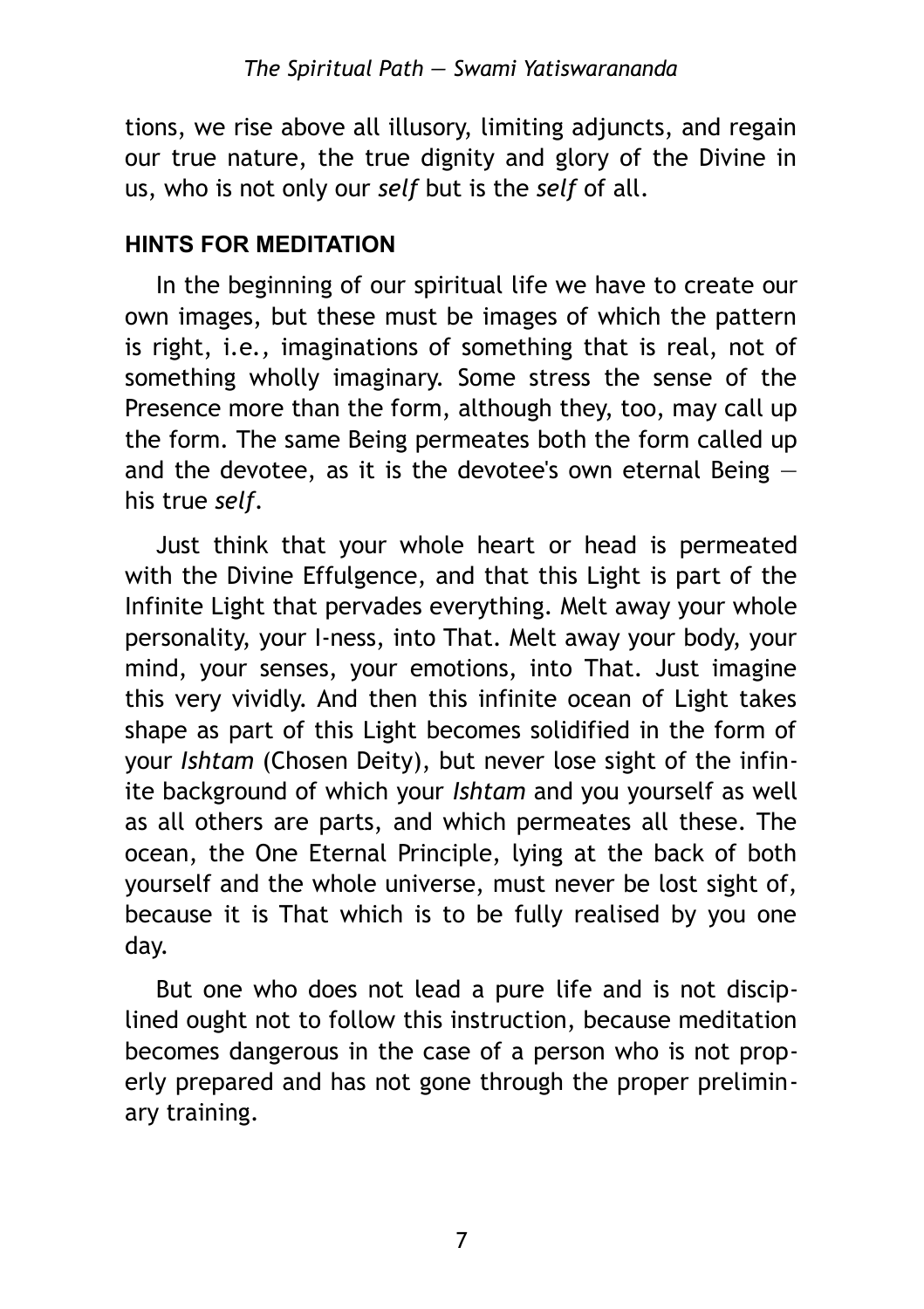tions, we rise above all illusory, limiting adjuncts, and regain our true nature, the true dignity and glory of the Divine in us, who is not only our *self* but is the *self* of all.

#### <span id="page-6-0"></span>**HINTS FOR MEDITATION**

In the beginning of our spiritual life we have to create our own images, but these must be images of which the pattern is right, i*.*e*.,* imaginations of something that is real, not of something wholly imaginary. Some stress the sense of the Presence more than the form, although they, too, may call up the form. The same Being permeates both the form called up and the devotee, as it is the devotee's own eternal Being  $$ his true *self.*

Just think that your whole heart or head is permeated with the Divine Effulgence, and that this Light is part of the Infinite Light that pervades everything. Melt away your whole personality, your I-ness, into That. Melt away your body, your mind, your senses, your emotions, into That. Just imagine this very vividly. And then this infinite ocean of Light takes shape as part of this Light becomes solidified in the form of your *Ishtam* (Chosen Deity), but never lose sight of the infinite background of which your *Ishtam* and you yourself as well as all others are parts, and which permeates all these. The ocean, the One Eternal Principle, lying at the back of both yourself and the whole universe, must never be lost sight of, because it is That which is to be fully realised by you one day.

But one who does not lead a pure life and is not disciplined ought not to follow this instruction, because meditation becomes dangerous in the case of a person who is not properly prepared and has not gone through the proper preliminary training.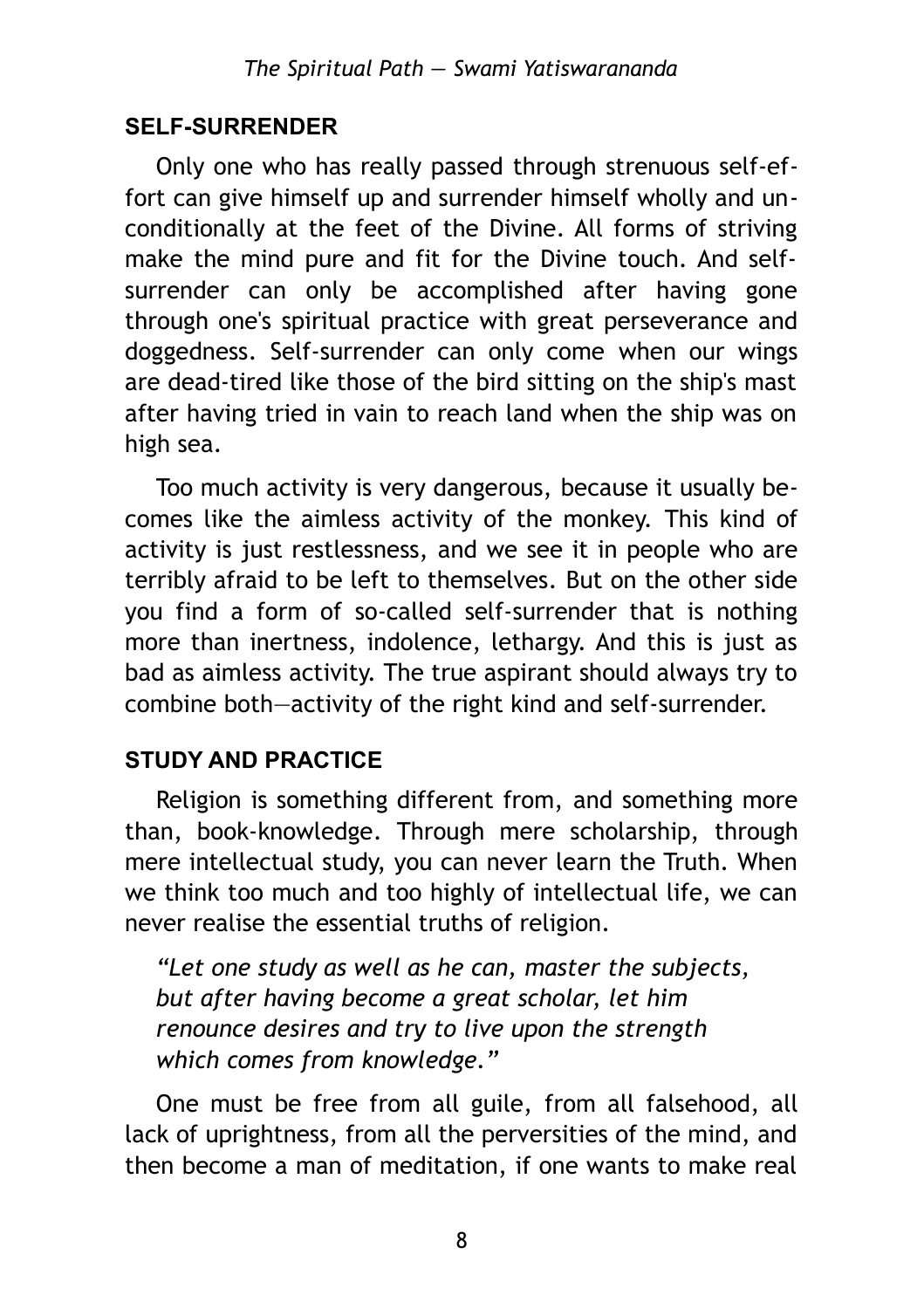## <span id="page-7-1"></span>**SELF-SURRENDER**

Only one who has really passed through strenuous self-effort can give himself up and surrender himself wholly and unconditionally at the feet of the Divine. All forms of striving make the mind pure and fit for the Divine touch. And selfsurrender can only be accomplished after having gone through one's spiritual practice with great perseverance and doggedness. Self-surrender can only come when our wings are dead-tired like those of the bird sitting on the ship's mast after having tried in vain to reach land when the ship was on high sea.

Too much activity is very dangerous, because it usually becomes like the aimless activity of the monkey. This kind of activity is just restlessness, and we see it in people who are terribly afraid to be left to themselves. But on the other side you find a form of so-called self-surrender that is nothing more than inertness, indolence, lethargy. And this is just as bad as aimless activity. The true aspirant should always try to combine both—activity of the right kind and self-surrender.

## <span id="page-7-0"></span>**STUDY AND PRACTICE**

Religion is something different from, and something more than, book-knowledge. Through mere scholarship, through mere intellectual study, you can never learn the Truth. When we think too much and too highly of intellectual life, we can never realise the essential truths of religion.

*"Let one study as well as he can, master the subjects, but after having become a great scholar, let him renounce desires and try to live upon the strength which comes from knowledge."*

One must be free from all guile, from all falsehood, all lack of uprightness, from all the perversities of the mind, and then become a man of meditation, if one wants to make real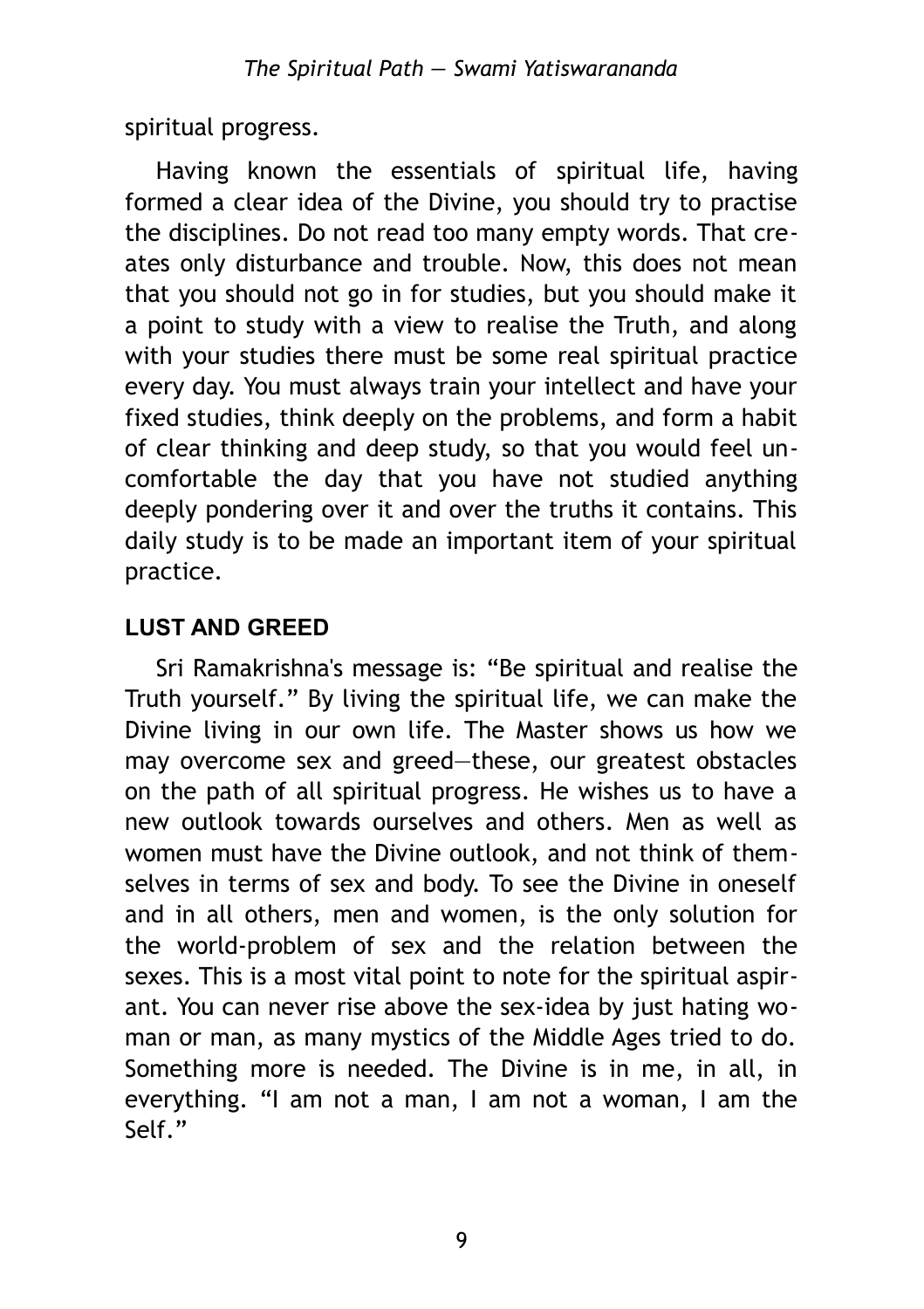spiritual progress.

Having known the essentials of spiritual life, having formed a clear idea of the Divine, you should try to practise the disciplines. Do not read too many empty words. That creates only disturbance and trouble. Now, this does not mean that you should not go in for studies, but you should make it a point to study with a view to realise the Truth, and along with your studies there must be some real spiritual practice every day. You must always train your intellect and have your fixed studies, think deeply on the problems, and form a habit of clear thinking and deep study, so that you would feel uncomfortable the day that you have not studied anything deeply pondering over it and over the truths it contains. This daily study is to be made an important item of your spiritual practice.

## <span id="page-8-0"></span>**LUST AND GREED**

Sri Ramakrishna's message is: "Be spiritual and realise the Truth yourself." By living the spiritual life, we can make the Divine living in our own life. The Master shows us how we may overcome sex and greed—these, our greatest obstacles on the path of all spiritual progress. He wishes us to have a new outlook towards ourselves and others. Men as well as women must have the Divine outlook, and not think of themselves in terms of sex and body. To see the Divine in oneself and in all others, men and women, is the only solution for the world-problem of sex and the relation between the sexes. This is a most vital point to note for the spiritual aspirant. You can never rise above the sex-idea by just hating woman or man, as many mystics of the Middle Ages tried to do. Something more is needed. The Divine is in me, in all, in everything. "I am not a man, I am not a woman, I am the Self."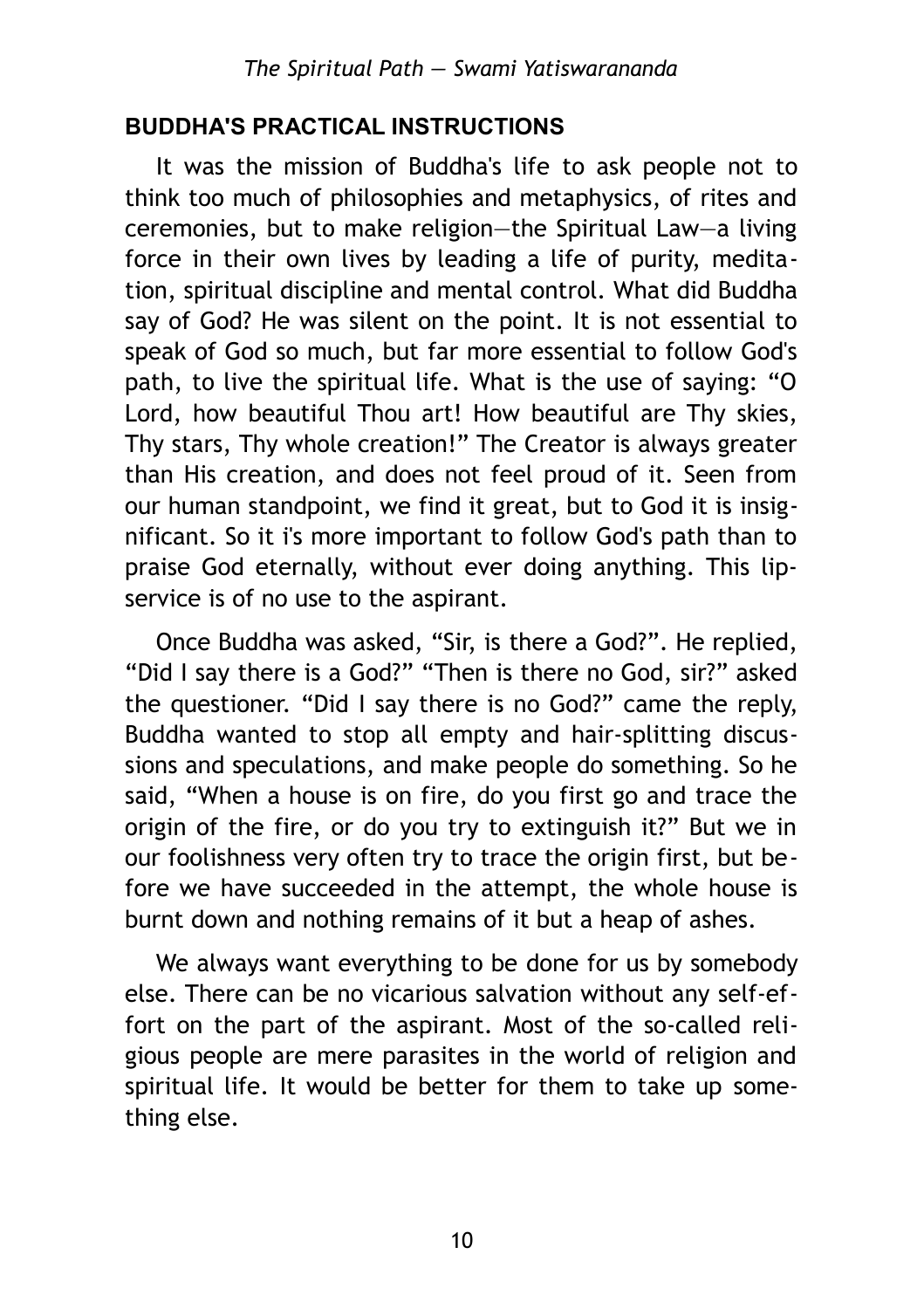#### <span id="page-9-0"></span>**BUDDHA'S PRACTICAL INSTRUCTIONS**

It was the mission of Buddha's life to ask people not to think too much of philosophies and metaphysics, of rites and ceremonies, but to make religion—the Spiritual Law—a living force in their own lives by leading a life of purity, meditation, spiritual discipline and mental control. What did Buddha say of God? He was silent on the point. It is not essential to speak of God so much, but far more essential to follow God's path, to live the spiritual life. What is the use of saying: "O Lord, how beautiful Thou art! How beautiful are Thy skies, Thy stars, Thy whole creation!" The Creator is always greater than His creation, and does not feel proud of it. Seen from our human standpoint, we find it great, but to God it is insignificant. So it i's more important to follow God's path than to praise God eternally, without ever doing anything. This lipservice is of no use to the aspirant.

Once Buddha was asked, "Sir, is there a God?". He replied, "Did I say there is a God?" "Then is there no God, sir?" asked the questioner. "Did I say there is no God?" came the reply, Buddha wanted to stop all empty and hair-splitting discussions and speculations, and make people do something. So he said, "When a house is on fire, do you first go and trace the origin of the fire, or do you try to extinguish it?" But we in our foolishness very often try to trace the origin first, but before we have succeeded in the attempt, the whole house is burnt down and nothing remains of it but a heap of ashes.

We always want everything to be done for us by somebody else. There can be no vicarious salvation without any self-effort on the part of the aspirant. Most of the so-called religious people are mere parasites in the world of religion and spiritual life. It would be better for them to take up something else.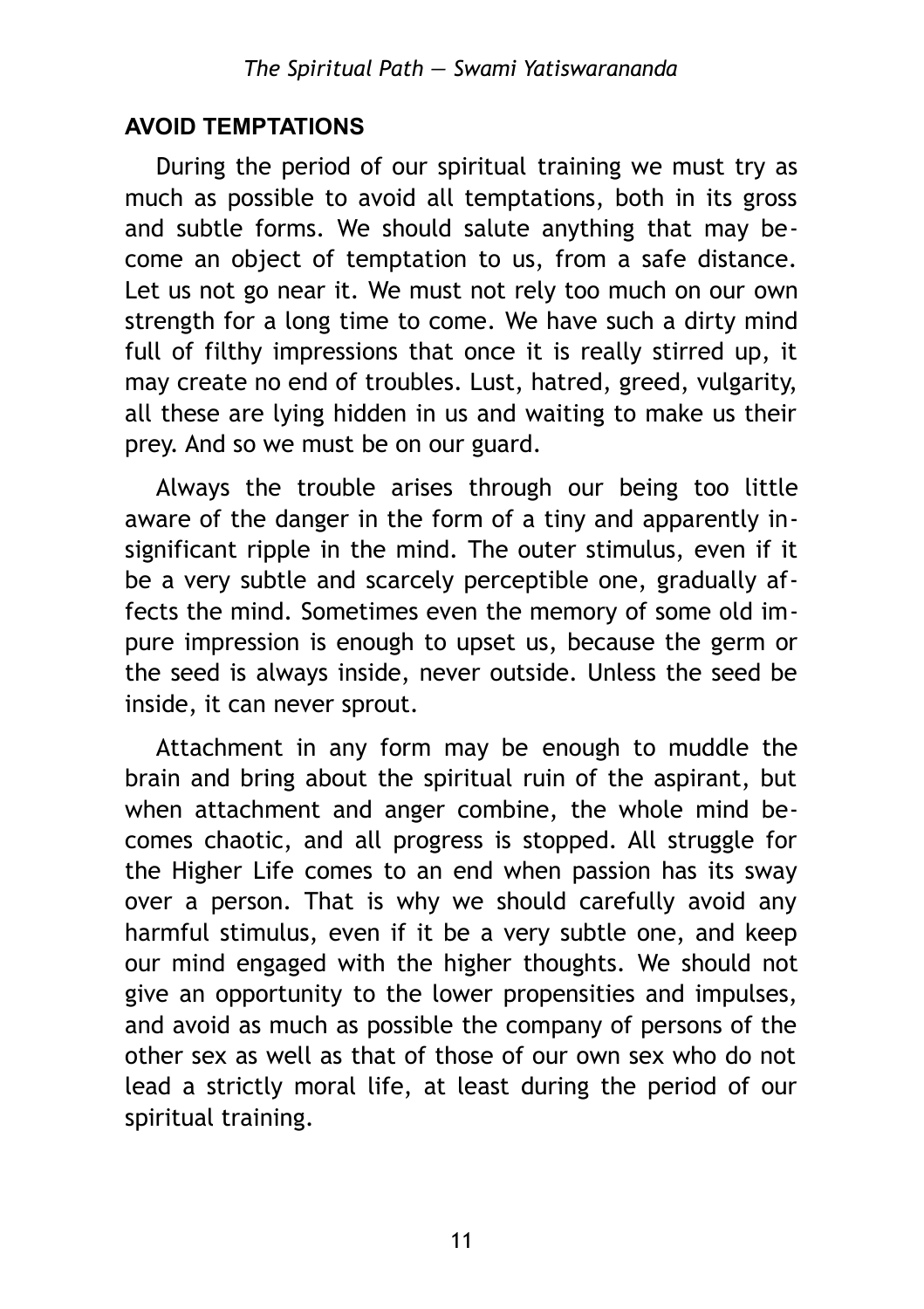#### <span id="page-10-0"></span>**AVOID TEMPTATIONS**

During the period of our spiritual training we must try as much as possible to avoid all temptations, both in its gross and subtle forms. We should salute anything that may become an object of temptation to us, from a safe distance. Let us not go near it. We must not rely too much on our own strength for a long time to come. We have such a dirty mind full of filthy impressions that once it is really stirred up, it may create no end of troubles. Lust, hatred, greed, vulgarity, all these are lying hidden in us and waiting to make us their prey. And so we must be on our guard.

Always the trouble arises through our being too little aware of the danger in the form of a tiny and apparently insignificant ripple in the mind. The outer stimulus, even if it be a very subtle and scarcely perceptible one, gradually affects the mind. Sometimes even the memory of some old impure impression is enough to upset us, because the germ or the seed is always inside, never outside. Unless the seed be inside, it can never sprout.

Attachment in any form may be enough to muddle the brain and bring about the spiritual ruin of the aspirant, but when attachment and anger combine, the whole mind becomes chaotic, and all progress is stopped. All struggle for the Higher Life comes to an end when passion has its sway over a person. That is why we should carefully avoid any harmful stimulus, even if it be a very subtle one, and keep our mind engaged with the higher thoughts. We should not give an opportunity to the lower propensities and impulses, and avoid as much as possible the company of persons of the other sex as well as that of those of our own sex who do not lead a strictly moral life, at least during the period of our spiritual training.